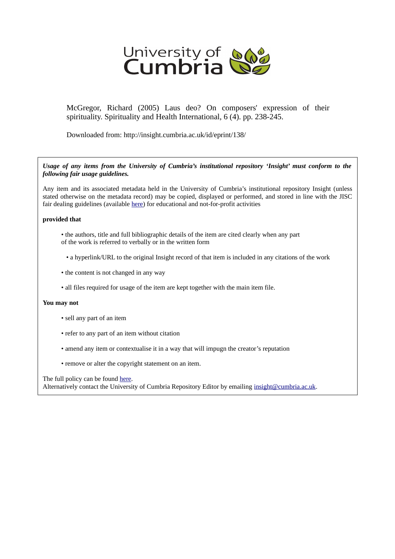

McGregor, Richard (2005) Laus deo? On composers' expression of their spirituality. Spirituality and Health International, 6 (4). pp. 238-245.

Downloaded from: http://insight.cumbria.ac.uk/id/eprint/138/

*Usage of any items from the University of Cumbria's institutional repository 'Insight' must conform to the following fair usage guidelines.*

Any item and its associated metadata held in the University of Cumbria's institutional repository Insight (unless stated otherwise on the metadata record) may be copied, displayed or performed, and stored in line with the JISC fair dealing guidelines (available [here\)](http://www.ukoln.ac.uk/services/elib/papers/pa/fair/) for educational and not-for-profit activities

## **provided that**

- the authors, title and full bibliographic details of the item are cited clearly when any part of the work is referred to verbally or in the written form
	- a hyperlink/URL to the original Insight record of that item is included in any citations of the work
- the content is not changed in any way
- all files required for usage of the item are kept together with the main item file.

## **You may not**

- sell any part of an item
- refer to any part of an item without citation
- amend any item or contextualise it in a way that will impugn the creator's reputation
- remove or alter the copyright statement on an item.

The full policy can be found [here.](http://insight.cumbria.ac.uk/legal.html#section5)

Alternatively contact the University of Cumbria Repository Editor by emailing [insight@cumbria.ac.uk.](mailto:insight@cumbria.ac.uk)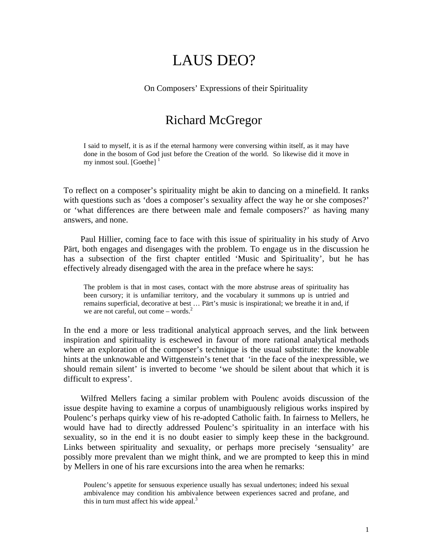## LAUS DEO?

On Composers' Expressions of their Spirituality

## Richard McGregor

I said to myself, it is as if the eternal harmony were conversing within itself, as it may have done in the bosom of God just before the Creation of the world. So likewise did it move in my inmost soul. [Goethe] $<sup>1</sup>$ </sup>

To reflect on a composer's spirituality might be akin to dancing on a minefield. It ranks with questions such as 'does a composer's sexuality affect the way he or she composes?' or 'what differences are there between male and female composers?' as having many answers, and none.

 Paul Hillier, coming face to face with this issue of spirituality in his study of Arvo Pärt, both engages and disengages with the problem. To engage us in the discussion he has a subsection of the first chapter entitled 'Music and Spirituality', but he has effectively already disengaged with the area in the preface where he says:

The problem is that in most cases, contact with the more abstruse areas of spirituality has been cursory; it is unfamiliar territory, and the vocabulary it summons up is untried and remains superficial, decorative at best … Pärt's music is inspirational; we breathe it in and, if we are not careful, out come – words. $2^2$ 

In the end a more or less traditional analytical approach serves, and the link between inspiration and spirituality is eschewed in favour of more rational analytical methods where an exploration of the composer's technique is the usual substitute: the knowable hints at the unknowable and Wittgenstein's tenet that 'in the face of the inexpressible, we should remain silent' is inverted to become 'we should be silent about that which it is difficult to express'.

 Wilfred Mellers facing a similar problem with Poulenc avoids discussion of the issue despite having to examine a corpus of unambiguously religious works inspired by Poulenc's perhaps quirky view of his re-adopted Catholic faith. In fairness to Mellers, he would have had to directly addressed Poulenc's spirituality in an interface with his sexuality, so in the end it is no doubt easier to simply keep these in the background. Links between spirituality and sexuality, or perhaps more precisely 'sensuality' are possibly more prevalent than we might think, and we are prompted to keep this in mind by Mellers in one of his rare excursions into the area when he remarks:

Poulenc's appetite for sensuous experience usually has sexual undertones; indeed his sexual ambivalence may condition his ambivalence between experiences sacred and profane, and this in turn must affect his wide appeal. $3$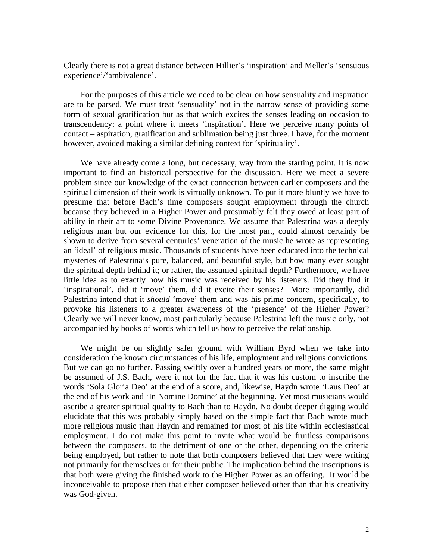Clearly there is not a great distance between Hillier's 'inspiration' and Meller's 'sensuous experience'/'ambivalence'.

 For the purposes of this article we need to be clear on how sensuality and inspiration are to be parsed. We must treat 'sensuality' not in the narrow sense of providing some form of sexual gratification but as that which excites the senses leading on occasion to transcendency: a point where it meets 'inspiration'. Here we perceive many points of contact – aspiration, gratification and sublimation being just three. I have, for the moment however, avoided making a similar defining context for 'spirituality'.

 We have already come a long, but necessary, way from the starting point. It is now important to find an historical perspective for the discussion. Here we meet a severe problem since our knowledge of the exact connection between earlier composers and the spiritual dimension of their work is virtually unknown. To put it more bluntly we have to presume that before Bach's time composers sought employment through the church because they believed in a Higher Power and presumably felt they owed at least part of ability in their art to some Divine Provenance. We assume that Palestrina was a deeply religious man but our evidence for this, for the most part, could almost certainly be shown to derive from several centuries' veneration of the music he wrote as representing an 'ideal' of religious music. Thousands of students have been educated into the technical mysteries of Palestrina's pure, balanced, and beautiful style, but how many ever sought the spiritual depth behind it; or rather, the assumed spiritual depth? Furthermore, we have little idea as to exactly how his music was received by his listeners. Did they find it 'inspirational', did it 'move' them, did it excite their senses? More importantly, did Palestrina intend that it *should* 'move' them and was his prime concern, specifically, to provoke his listeners to a greater awareness of the 'presence' of the Higher Power? Clearly we will never know, most particularly because Palestrina left the music only, not accompanied by books of words which tell us how to perceive the relationship.

 We might be on slightly safer ground with William Byrd when we take into consideration the known circumstances of his life, employment and religious convictions. But we can go no further. Passing swiftly over a hundred years or more, the same might be assumed of J.S. Bach, were it not for the fact that it was his custom to inscribe the words 'Sola Gloria Deo' at the end of a score, and, likewise, Haydn wrote 'Laus Deo' at the end of his work and 'In Nomine Domine' at the beginning. Yet most musicians would ascribe a greater spiritual quality to Bach than to Haydn. No doubt deeper digging would elucidate that this was probably simply based on the simple fact that Bach wrote much more religious music than Haydn and remained for most of his life within ecclesiastical employment. I do not make this point to invite what would be fruitless comparisons between the composers, to the detriment of one or the other, depending on the criteria being employed, but rather to note that both composers believed that they were writing not primarily for themselves or for their public. The implication behind the inscriptions is that both were giving the finished work to the Higher Power as an offering. It would be inconceivable to propose then that either composer believed other than that his creativity was God-given.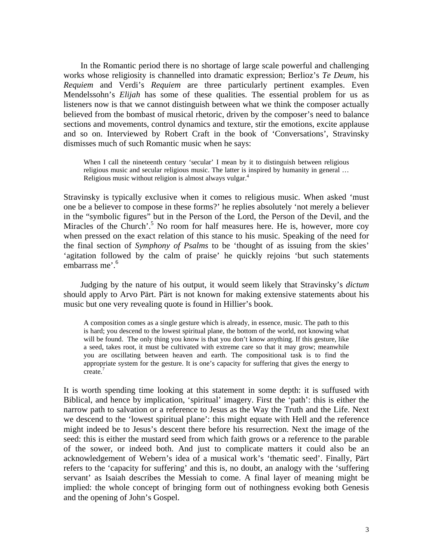In the Romantic period there is no shortage of large scale powerful and challenging works whose religiosity is channelled into dramatic expression; Berlioz's *Te Deum*, his *Requiem* and Verdi's *Requiem* are three particularly pertinent examples. Even Mendelssohn's *Elijah* has some of these qualities. The essential problem for us as listeners now is that we cannot distinguish between what we think the composer actually believed from the bombast of musical rhetoric, driven by the composer's need to balance sections and movements, control dynamics and texture, stir the emotions, excite applause and so on. Interviewed by Robert Craft in the book of 'Conversations', Stravinsky dismisses much of such Romantic music when he says:

When I call the nineteenth century 'secular' I mean by it to distinguish between religious religious music and secular religious music. The latter is inspired by humanity in general … Religious music without religion is almost always vulgar.<sup>4</sup>

Stravinsky is typically exclusive when it comes to religious music. When asked 'must one be a believer to compose in these forms?' he replies absolutely 'not merely a believer in the "symbolic figures" but in the Person of the Lord, the Person of the Devil, and the Miracles of the Church'.<sup>5</sup> No room for half measures here. He is, however, more coy when pressed on the exact relation of this stance to his music. Speaking of the need for the final section of *Symphony of Psalms* to be 'thought of as issuing from the skies' 'agitation followed by the calm of praise' he quickly rejoins 'but such statements embarrass me'.<sup>6</sup>

 Judging by the nature of his output, it would seem likely that Stravinsky's *dictum* should apply to Arvo Pärt. Pärt is not known for making extensive statements about his music but one very revealing quote is found in Hillier's book.

A composition comes as a single gesture which is already, in essence, music. The path to this is hard; you descend to the lowest spiritual plane, the bottom of the world, not knowing what will be found. The only thing you know is that you don't know anything. If this gesture, like a seed, takes root, it must be cultivated with extreme care so that it may grow; meanwhile you are oscillating between heaven and earth. The compositional task is to find the appropriate system for the gesture. It is one's capacity for suffering that gives the energy to create.<sup>7</sup>

It is worth spending time looking at this statement in some depth: it is suffused with Biblical, and hence by implication, 'spiritual' imagery. First the 'path': this is either the narrow path to salvation or a reference to Jesus as the Way the Truth and the Life. Next we descend to the 'lowest spiritual plane': this might equate with Hell and the reference might indeed be to Jesus's descent there before his resurrection. Next the image of the seed: this is either the mustard seed from which faith grows or a reference to the parable of the sower, or indeed both. And just to complicate matters it could also be an acknowledgement of Webern's idea of a musical work's 'thematic seed'. Finally, Pärt refers to the 'capacity for suffering' and this is, no doubt, an analogy with the 'suffering servant' as Isaiah describes the Messiah to come. A final layer of meaning might be implied: the whole concept of bringing form out of nothingness evoking both Genesis and the opening of John's Gospel.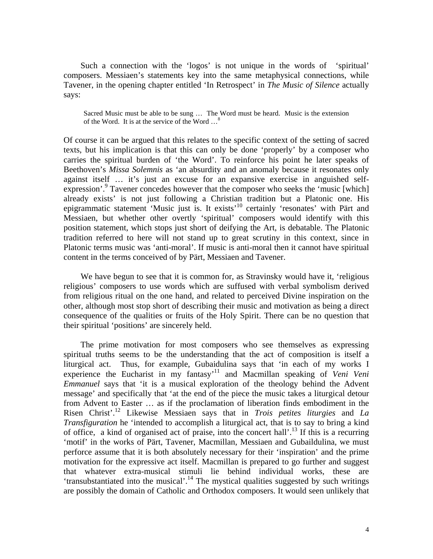Such a connection with the 'logos' is not unique in the words of 'spiritual' composers. Messiaen's statements key into the same metaphysical connections, while Tavener, in the opening chapter entitled 'In Retrospect' in *The Music of Silence* actually says:

 Sacred Music must be able to be sung … The Word must be heard. Music is the extension of the Word. It is at the service of the Word  $\ldots$ <sup>8</sup>

Of course it can be argued that this relates to the specific context of the setting of sacred texts, but his implication is that this can only be done 'properly' by a composer who carries the spiritual burden of 'the Word'. To reinforce his point he later speaks of Beethoven's *Missa Solemnis* as 'an absurdity and an anomaly because it resonates only against itself … it's just an excuse for an expansive exercise in anguished selfexpression'.<sup>9</sup> Tavener concedes however that the composer who seeks the 'music [which] already exists' is not just following a Christian tradition but a Platonic one. His epigrammatic statement 'Music just is. It exists'<sup>10</sup> certainly 'resonates' with Pärt and Messiaen, but whether other overtly 'spiritual' composers would identify with this position statement, which stops just short of deifying the Art, is debatable. The Platonic tradition referred to here will not stand up to great scrutiny in this context, since in Platonic terms music was 'anti-moral'. If music is anti-moral then it cannot have spiritual content in the terms conceived of by Pärt, Messiaen and Tavener.

We have begun to see that it is common for, as Stravinsky would have it, 'religious religious' composers to use words which are suffused with verbal symbolism derived from religious ritual on the one hand, and related to perceived Divine inspiration on the other, although most stop short of describing their music and motivation as being a direct consequence of the qualities or fruits of the Holy Spirit. There can be no question that their spiritual 'positions' are sincerely held.

 The prime motivation for most composers who see themselves as expressing spiritual truths seems to be the understanding that the act of composition is itself a liturgical act. Thus, for example, Gubaidulina says that 'in each of my works I experience the Eucharist in my fantasy<sup>11</sup> and Macmillan speaking of *Veni Veni Emmanuel* says that 'it is a musical exploration of the theology behind the Advent message' and specifically that 'at the end of the piece the music takes a liturgical detour from Advent to Easter … as if the proclamation of liberation finds embodiment in the Risen Christ'.12 Likewise Messiaen says that in *Trois petites liturgies* and *La Transfiguration* he 'intended to accomplish a liturgical act, that is to say to bring a kind of office, a kind of organised act of praise, into the concert hall'.<sup>13</sup> If this is a recurring 'motif' in the works of Pärt, Tavener, Macmillan, Messiaen and Gubaildulina, we must perforce assume that it is both absolutely necessary for their 'inspiration' and the prime motivation for the expressive act itself. Macmillan is prepared to go further and suggest that whatever extra-musical stimuli lie behind individual works, these are 'transubstantiated into the musical'.<sup>14</sup> The mystical qualities suggested by such writings are possibly the domain of Catholic and Orthodox composers. It would seen unlikely that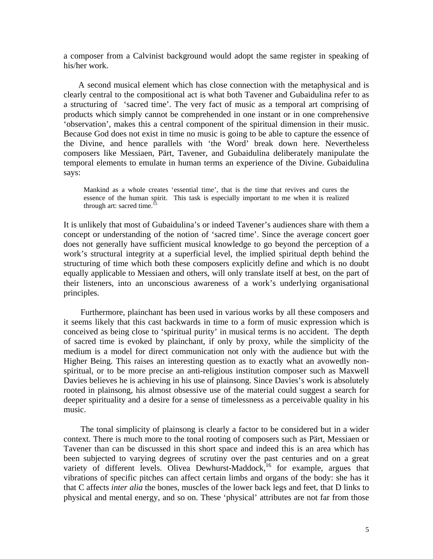a composer from a Calvinist background would adopt the same register in speaking of his/her work.

 A second musical element which has close connection with the metaphysical and is clearly central to the compositional act is what both Tavener and Gubaidulina refer to as a structuring of 'sacred time'. The very fact of music as a temporal art comprising of products which simply cannot be comprehended in one instant or in one comprehensive 'observation', makes this a central component of the spiritual dimension in their music. Because God does not exist in time no music is going to be able to capture the essence of the Divine, and hence parallels with 'the Word' break down here. Nevertheless composers like Messiaen, Pärt, Tavener, and Gubaidulina deliberately manipulate the temporal elements to emulate in human terms an experience of the Divine. Gubaidulina says:

Mankind as a whole creates 'essential time', that is the time that revives and cures the essence of the human spirit. This task is especially important to me when it is realized through art: sacred time.<sup>1</sup>

It is unlikely that most of Gubaidulina's or indeed Tavener's audiences share with them a concept or understanding of the notion of 'sacred time'. Since the average concert goer does not generally have sufficient musical knowledge to go beyond the perception of a work's structural integrity at a superficial level, the implied spiritual depth behind the structuring of time which both these composers explicitly define and which is no doubt equally applicable to Messiaen and others, will only translate itself at best, on the part of their listeners, into an unconscious awareness of a work's underlying organisational principles.

 Furthermore, plainchant has been used in various works by all these composers and it seems likely that this cast backwards in time to a form of music expression which is conceived as being close to 'spiritual purity' in musical terms is no accident. The depth of sacred time is evoked by plainchant, if only by proxy, while the simplicity of the medium is a model for direct communication not only with the audience but with the Higher Being. This raises an interesting question as to exactly what an avowedly nonspiritual, or to be more precise an anti-religious institution composer such as Maxwell Davies believes he is achieving in his use of plainsong. Since Davies's work is absolutely rooted in plainsong, his almost obsessive use of the material could suggest a search for deeper spirituality and a desire for a sense of timelessness as a perceivable quality in his music.

 The tonal simplicity of plainsong is clearly a factor to be considered but in a wider context. There is much more to the tonal rooting of composers such as Pärt, Messiaen or Tavener than can be discussed in this short space and indeed this is an area which has been subjected to varying degrees of scrutiny over the past centuries and on a great variety of different levels. Olivea Dewhurst-Maddock,<sup>16</sup> for example, argues that vibrations of specific pitches can affect certain limbs and organs of the body: she has it that C affects *inter alia* the bones, muscles of the lower back legs and feet, that D links to physical and mental energy, and so on. These 'physical' attributes are not far from those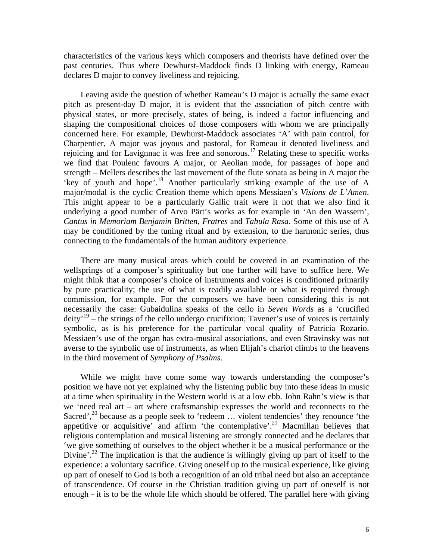characteristics of the various keys which composers and theorists have defined over the past centuries. Thus where Dewhurst-Maddock finds D linking with energy, Rameau declares D major to convey liveliness and rejoicing.

 Leaving aside the question of whether Rameau's D major is actually the same exact pitch as present-day D major, it is evident that the association of pitch centre with physical states, or more precisely, states of being, is indeed a factor influencing and shaping the compositional choices of those composers with whom we are principally concerned here. For example, Dewhurst-Maddock associates 'A' with pain control, for Charpentier, A major was joyous and pastoral, for Rameau it denoted liveliness and rejoicing and for Lavignnac it was free and sonorous.17 Relating these to specific works we find that Poulenc favours A major, or Aeolian mode, for passages of hope and strength – Mellers describes the last movement of the flute sonata as being in A major the 'key of youth and hope'.18 Another particularly striking example of the use of A major/modal is the cyclic Creation theme which opens Messiaen's *Visions de L'Amen*. This might appear to be a particularly Gallic trait were it not that we also find it underlying a good number of Arvo Pärt's works as for example in 'An den Wassern', *Cantus in Memoriam Benjamin Britten*, *Fratres* and *Tabula Rasa*. Some of this use of A may be conditioned by the tuning ritual and by extension, to the harmonic series, thus connecting to the fundamentals of the human auditory experience.

 There are many musical areas which could be covered in an examination of the wellsprings of a composer's spirituality but one further will have to suffice here. We might think that a composer's choice of instruments and voices is conditioned primarily by pure practicality; the use of what is readily available or what is required through commission, for example. For the composers we have been considering this is not necessarily the case: Gubaidulina speaks of the cello in *Seven Words* as a 'crucified  $det{v'}^{19}$  – the strings of the cello undergo crucifixion; Tavener's use of voices is certainly symbolic, as is his preference for the particular vocal quality of Patricia Rozario. Messiaen's use of the organ has extra-musical associations, and even Stravinsky was not averse to the symbolic use of instruments, as when Elijah's chariot climbs to the heavens in the third movement of *Symphony of Psalms*.

 While we might have come some way towards understanding the composer's position we have not yet explained why the listening public buy into these ideas in music at a time when spirituality in the Western world is at a low ebb. John Rahn's view is that we 'need real art – art where craftsmanship expresses the world and reconnects to the Sacred',<sup>20</sup> because as a people seek to 'redeem ... violent tendencies' they renounce 'the appetitive or acquisitive' and affirm 'the contemplative'.<sup>21</sup> Macmillan believes that religious contemplation and musical listening are strongly connected and he declares that 'we give something of ourselves to the object whether it be a musical performance or the Divine'.<sup>22</sup> The implication is that the audience is willingly giving up part of itself to the experience: a voluntary sacrifice. Giving oneself up to the musical experience, like giving up part of oneself to God is both a recognition of an old tribal need but also an acceptance of transcendence. Of course in the Christian tradition giving up part of oneself is not enough - it is to be the whole life which should be offered. The parallel here with giving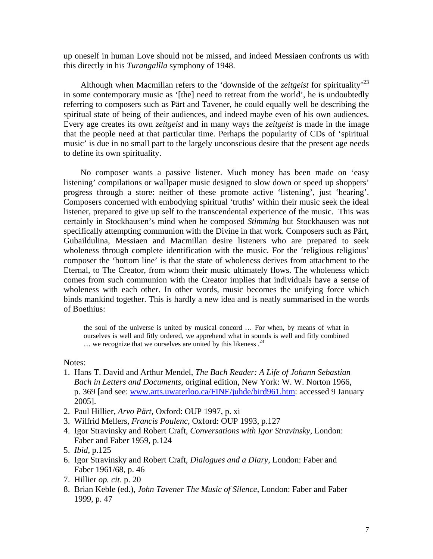up oneself in human Love should not be missed, and indeed Messiaen confronts us with this directly in his *Turangalîla* symphony of 1948.

 Although when Macmillan refers to the 'downside of the *zeitgeist* for spirituality'<sup>23</sup> in some contemporary music as '[the] need to retreat from the world', he is undoubtedly referring to composers such as Pärt and Tavener, he could equally well be describing the spiritual state of being of their audiences, and indeed maybe even of his own audiences. Every age creates its own *zeitgeist* and in many ways the *zeitgeist* is made in the image that the people need at that particular time. Perhaps the popularity of CDs of 'spiritual music' is due in no small part to the largely unconscious desire that the present age needs to define its own spirituality.

 No composer wants a passive listener. Much money has been made on 'easy listening' compilations or wallpaper music designed to slow down or speed up shoppers' progress through a store: neither of these promote active 'listening', just 'hearing'. Composers concerned with embodying spiritual 'truths' within their music seek the ideal listener, prepared to give up self to the transcendental experience of the music. This was certainly in Stockhausen's mind when he composed *Stimming* but Stockhausen was not specifically attempting communion with the Divine in that work. Composers such as Pärt, Gubaildulina, Messiaen and Macmillan desire listeners who are prepared to seek wholeness through complete identification with the music. For the 'religious religious' composer the 'bottom line' is that the state of wholeness derives from attachment to the Eternal, to The Creator, from whom their music ultimately flows. The wholeness which comes from such communion with the Creator implies that individuals have a sense of wholeness with each other. In other words, music becomes the unifying force which binds mankind together. This is hardly a new idea and is neatly summarised in the words of Boethius:

the soul of the universe is united by musical concord … For when, by means of what in ourselves is well and fitly ordered, we apprehend what in sounds is well and fitly combined  $\ldots$  we recognize that we ourselves are united by this likeness  $.24$ 

Notes:

- 1. Hans T. David and Arthur Mendel, *The Bach Reader: A Life of Johann Sebastian Bach in Letters and Documents*, original edition, New York: W. W. Norton 1966, p. 369 [and see: [www.arts.uwaterloo.ca/FINE/juhde/bird961.htm](http://www.arts.uwaterloo.ca/FINE/juhde/bird961.htm): accessed 9 January 2005].
- 2. Paul Hillier, *Arvo Pärt*, Oxford: OUP 1997, p. xi
- 3. Wilfrid Mellers, *Francis Poulenc*, Oxford: OUP 1993, p.127
- 4. Igor Stravinsky and Robert Craft, *Conversations with Igor Stravinsky*, London: Faber and Faber 1959, p.124
- 5. *Ibid*, p.125
- 6. Igor Stravinsky and Robert Craft, *Dialogues and a Diary*, London: Faber and Faber 1961/68, p. 46
- 7. Hillier *op. cit*. p. 20
- 8. Brian Keble (ed.), *John Tavener The Music of Silence*, London: Faber and Faber 1999, p. 47